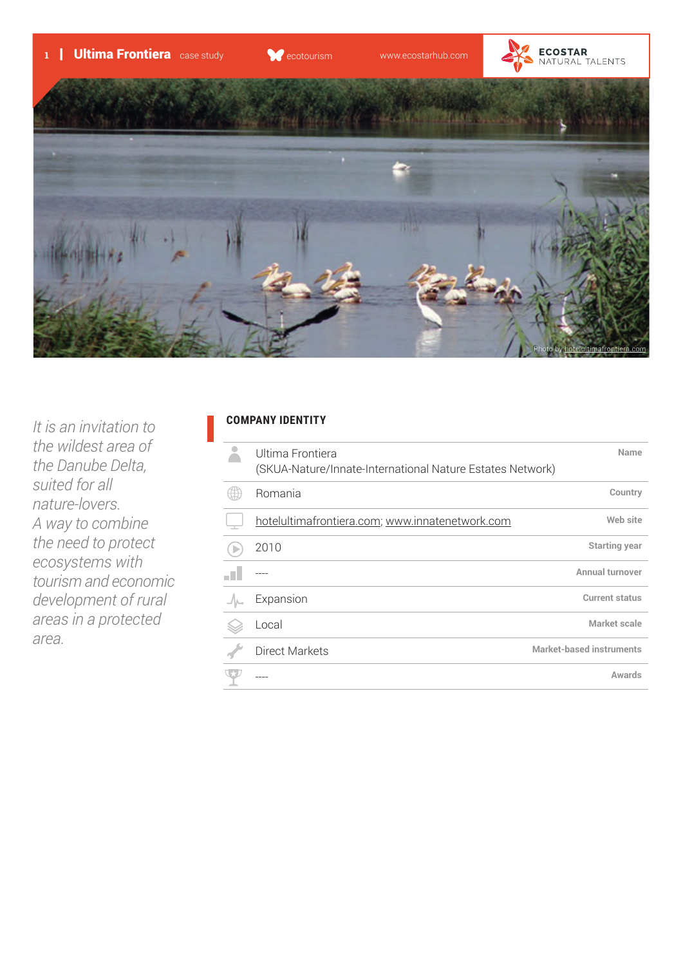



*It is an invitation to the wildest area of the Danube Delta, suited for all nature-lovers. A way to combine the need to protect ecosystems with tourism and economic development of rural areas in a protected area.*

## **COMPANY IDENTITY**

| Ultima Frontiera<br>(SKUA-Nature/Innate-International Nature Estates Network) | Name                            |
|-------------------------------------------------------------------------------|---------------------------------|
| Romania                                                                       | Country                         |
| hotelultimafrontiera.com; www.innatenetwork.com                               | Web site                        |
| 2010                                                                          | <b>Starting year</b>            |
|                                                                               | Annual turnover                 |
| Expansion                                                                     | <b>Current status</b>           |
| Local                                                                         | Market scale                    |
| <b>Direct Markets</b>                                                         | <b>Market-based instruments</b> |
|                                                                               | Awards                          |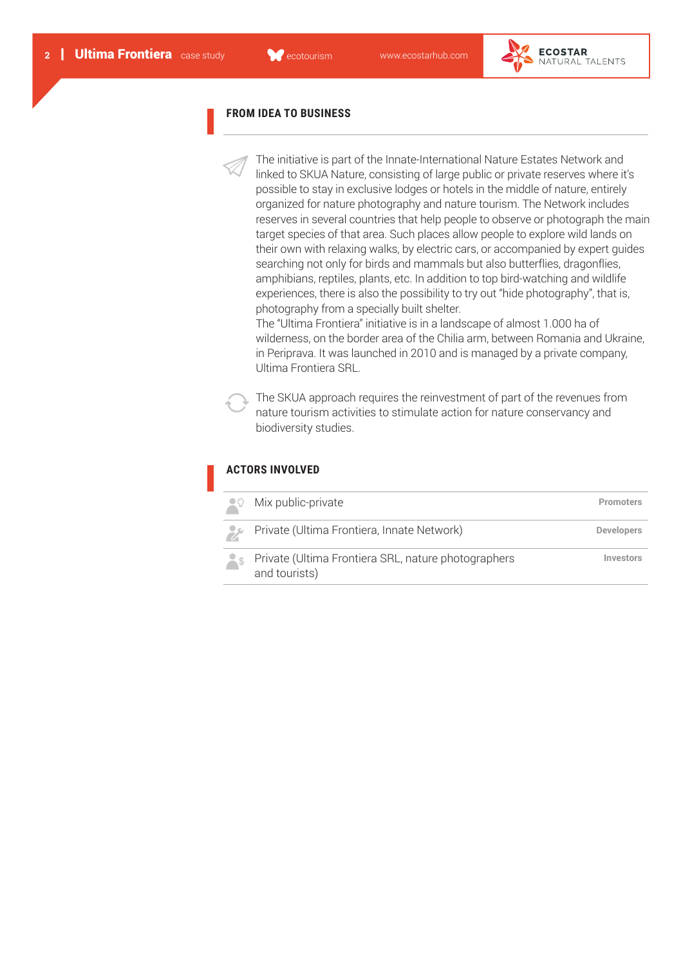

#### **FROM IDEA TO BUSINESS**

The initiative is part of the Innate-International Nature Estates Network and linked to SKUA Nature, consisting of large public or private reserves where it's possible to stay in exclusive lodges or hotels in the middle of nature, entirely organized for nature photography and nature tourism. The Network includes reserves in several countries that help people to observe or photograph the main target species of that area. Such places allow people to explore wild lands on their own with relaxing walks, by electric cars, or accompanied by expert guides searching not only for birds and mammals but also butterflies, dragonflies, amphibians, reptiles, plants, etc. In addition to top bird-watching and wildlife experiences, there is also the possibility to try out "hide photography", that is, photography from a specially built shelter.

The "Ultima Frontiera" initiative is in a landscape of almost 1.000 ha of wilderness, on the border area of the Chilia arm, between Romania and Ukraine, in Periprava. It was launched in 2010 and is managed by a private company, Ultima Frontiera SRL.

The SKUA approach requires the reinvestment of part of the revenues from nature tourism activities to stimulate action for nature conservancy and biodiversity studies.

# **ACTORS INVOLVED**

| $\Omega$ | Mix public-private                                                   | <b>Promoters</b>  |
|----------|----------------------------------------------------------------------|-------------------|
| تعرف     | Private (Ultima Frontiera, Innate Network)                           | <b>Developers</b> |
| $-$ \$   | Private (Ultima Frontiera SRL, nature photographers<br>and tourists) | Investors         |